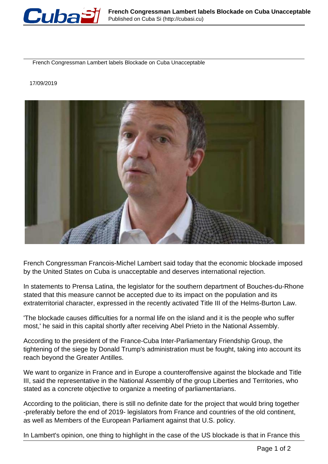

French Congressman Lambert labels Blockade on Cuba Unacceptable

## 17/09/2019



French Congressman Francois-Michel Lambert said today that the economic blockade imposed by the United States on Cuba is unacceptable and deserves international rejection.

In statements to Prensa Latina, the legislator for the southern department of Bouches-du-Rhone stated that this measure cannot be accepted due to its impact on the population and its extraterritorial character, expressed in the recently activated Title III of the Helms-Burton Law.

'The blockade causes difficulties for a normal life on the island and it is the people who suffer most,' he said in this capital shortly after receiving Abel Prieto in the National Assembly.

According to the president of the France-Cuba Inter-Parliamentary Friendship Group, the tightening of the siege by Donald Trump's administration must be fought, taking into account its reach beyond the Greater Antilles.

We want to organize in France and in Europe a counteroffensive against the blockade and Title III, said the representative in the National Assembly of the group Liberties and Territories, who stated as a concrete objective to organize a meeting of parliamentarians.

According to the politician, there is still no definite date for the project that would bring together -preferably before the end of 2019- legislators from France and countries of the old continent, as well as Members of the European Parliament against that U.S. policy.

In Lambert's opinion, one thing to highlight in the case of the US blockade is that in France this